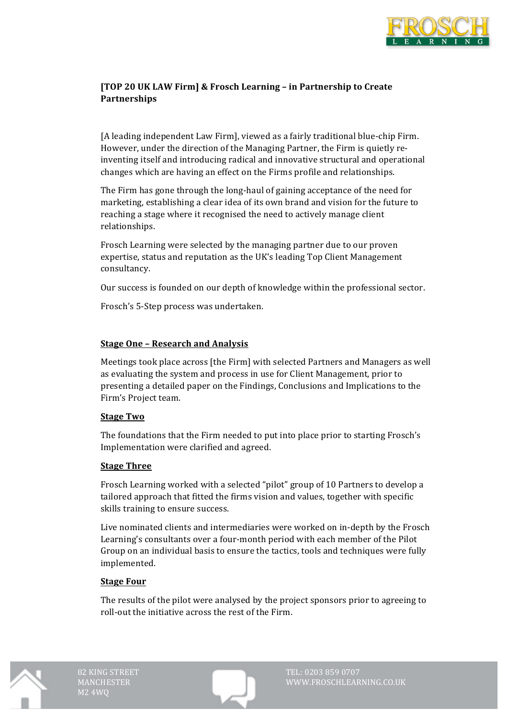

# [TOP 20 UK LAW Firm] & Frosch Learning - in Partnership to Create **Partnerships**

[A leading independent Law Firm], viewed as a fairly traditional blue-chip Firm. However, under the direction of the Managing Partner, the Firm is quietly reinventing itself and introducing radical and innovative structural and operational changes which are having an effect on the Firms profile and relationships.

The Firm has gone through the long-haul of gaining acceptance of the need for marketing, establishing a clear idea of its own brand and vision for the future to reaching a stage where it recognised the need to actively manage client relationships.

Frosch Learning were selected by the managing partner due to our proven expertise, status and reputation as the UK's leading Top Client Management consultancy.

Our success is founded on our depth of knowledge within the professional sector.

Frosch's 5-Step process was undertaken.

### **<u>Stage One - Research and Analysis</u>**

Meetings took place across [the Firm] with selected Partners and Managers as well as evaluating the system and process in use for Client Management, prior to presenting a detailed paper on the Findings, Conclusions and Implications to the Firm's Project team.

### **Stage Two**

The foundations that the Firm needed to put into place prior to starting Frosch's Implementation were clarified and agreed.

### **Stage Three**

Frosch Learning worked with a selected "pilot" group of 10 Partners to develop a tailored approach that fitted the firms vision and values, together with specific skills training to ensure success.

Live nominated clients and intermediaries were worked on in-depth by the Frosch Learning's consultants over a four-month period with each member of the Pilot Group on an individual basis to ensure the tactics, tools and techniques were fully implemented. 

### **Stage Four**

The results of the pilot were analysed by the project sponsors prior to agreeing to roll-out the initiative across the rest of the Firm.